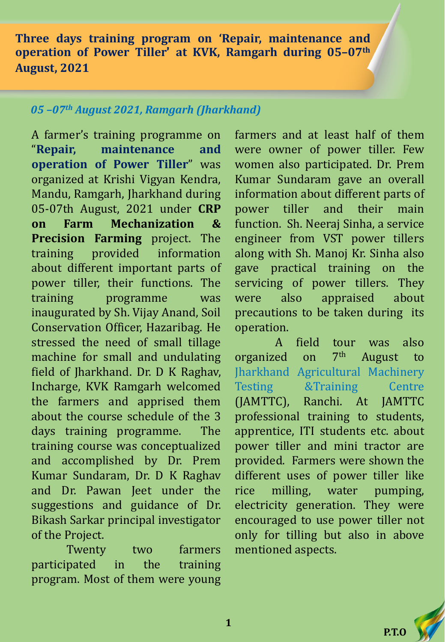**Three days training program on 'Repair, maintenance and operation of Power Tiller' at KVK, Ramgarh during 05–07th August, 2021**

## *05 –07th August 2021, Ramgarh (Jharkhand)*

A farmer's training programme on "**Repair, maintenance and operation of Power Tiller**" was organized at Krishi Vigyan Kendra, Mandu, Ramgarh, Jharkhand during 05-07th August, 2021 under **CRP on Farm Mechanization & Precision Farming** project. The training provided information about different important parts of power tiller, their functions. The training programme was inaugurated by Sh. Vijay Anand, Soil Conservation Officer, Hazaribag. He stressed the need of small tillage machine for small and undulating field of Jharkhand. Dr. D K Raghav, Incharge, KVK Ramgarh welcomed the farmers and apprised them about the course schedule of the 3 days training programme. The training course was conceptualized and accomplished by Dr. Prem Kumar Sundaram, Dr. D K Raghav and Dr. Pawan Jeet under the suggestions and guidance of Dr. Bikash Sarkar principal investigator of the Project.

Twenty two farmers participated in the training program. Most of them were young farmers and at least half of them were owner of power tiller. Few women also participated. Dr. Prem Kumar Sundaram gave an overall information about different parts of power tiller and their main function. Sh. Neeraj Sinha, a service engineer from VST power tillers along with Sh. Manoj Kr. Sinha also gave practical training on the servicing of power tillers. They were also appraised about precautions to be taken during its operation.

A field tour was also organized on 7 August to Jharkhand Agricultural Machinery Testing &Training Centre (JAMTTC), Ranchi. At JAMTTC professional training to students, apprentice, ITI students etc. about power tiller and mini tractor are provided. Farmers were shown the different uses of power tiller like rice milling, water pumping, electricity generation. They were encouraged to use power tiller not only for tilling but also in above mentioned aspects.



**1**